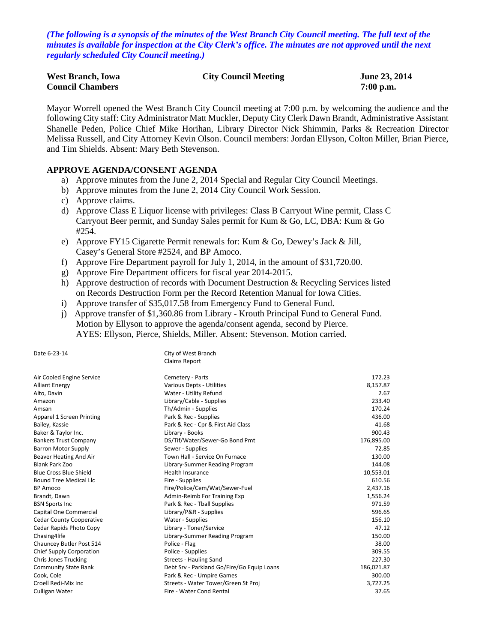*(The following is a synopsis of the minutes of the West Branch City Council meeting. The full text of the minutes is available for inspection at the City Clerk's office. The minutes are not approved until the next regularly scheduled City Council meeting.)*

| <b>West Branch, Iowa</b> | <b>City Council Meeting</b> | <b>June 23, 2014</b> |
|--------------------------|-----------------------------|----------------------|
| <b>Council Chambers</b>  |                             | $7:00$ p.m.          |

Mayor Worrell opened the West Branch City Council meeting at 7:00 p.m. by welcoming the audience and the following City staff: City Administrator Matt Muckler, Deputy City Clerk Dawn Brandt, Administrative Assistant Shanelle Peden, Police Chief Mike Horihan, Library Director Nick Shimmin, Parks & Recreation Director Melissa Russell, and City Attorney Kevin Olson. Council members: Jordan Ellyson, Colton Miller, Brian Pierce, and Tim Shields. Absent: Mary Beth Stevenson.

### **APPROVE AGENDA/CONSENT AGENDA**

- a) Approve minutes from the June 2, 2014 Special and Regular City Council Meetings.
- b) Approve minutes from the June 2, 2014 City Council Work Session.
- c) Approve claims.
- d) Approve Class E Liquor license with privileges: Class B Carryout Wine permit, Class C Carryout Beer permit, and Sunday Sales permit for Kum & Go, LC, DBA: Kum & Go #254.
- e) Approve FY15 Cigarette Permit renewals for: Kum & Go, Dewey's Jack & Jill, Casey's General Store #2524, and BP Amoco.
- f) Approve Fire Department payroll for July 1, 2014, in the amount of \$31,720.00.
- g) Approve Fire Department officers for fiscal year 2014-2015.
- h) Approve destruction of records with Document Destruction & Recycling Services listed on Records Destruction Form per the Record Retention Manual for Iowa Cities.
- i) Approve transfer of \$35,017.58 from Emergency Fund to General Fund.
- j) Approve transfer of \$1,360.86 from Library Krouth Principal Fund to General Fund. Motion by Ellyson to approve the agenda/consent agenda, second by Pierce. AYES: Ellyson, Pierce, Shields, Miller. Absent: Stevenson. Motion carried.

| Date 6-23-14                    | City of West Branch                        |            |
|---------------------------------|--------------------------------------------|------------|
|                                 | <b>Claims Report</b>                       |            |
| Air Cooled Engine Service       | Cemetery - Parts                           | 172.23     |
| <b>Alliant Energy</b>           | Various Depts - Utilities                  | 8,157.87   |
| Alto, Davin                     | Water - Utility Refund                     | 2.67       |
| Amazon                          | Library/Cable - Supplies                   | 233.40     |
| Amsan                           | Th/Admin - Supplies                        | 170.24     |
| Apparel 1 Screen Printing       | Park & Rec - Supplies                      | 436.00     |
| Bailey, Kassie                  | Park & Rec - Cpr & First Aid Class         | 41.68      |
| Baker & Taylor Inc.             | Library - Books                            | 900.43     |
| <b>Bankers Trust Company</b>    | DS/Tif/Water/Sewer-Go Bond Pmt             | 176,895.00 |
| <b>Barron Motor Supply</b>      | Sewer - Supplies                           | 72.85      |
| Beaver Heating And Air          | Town Hall - Service On Furnace             | 130.00     |
| <b>Blank Park Zoo</b>           | Library-Summer Reading Program             | 144.08     |
| <b>Blue Cross Blue Shield</b>   | <b>Health Insurance</b>                    | 10,553.01  |
| Bound Tree Medical Llc          | Fire - Supplies                            | 610.56     |
| BP Amoco                        | Fire/Police/Cem/Wat/Sewer-Fuel             | 2,437.16   |
| Brandt, Dawn                    | Admin-Reimb For Training Exp               | 1,556.24   |
| <b>BSN Sports Inc</b>           | Park & Rec - Tball Supplies                | 971.59     |
| Capital One Commercial          | Library/P&R - Supplies                     | 596.65     |
| <b>Cedar County Cooperative</b> | Water - Supplies                           | 156.10     |
| Cedar Rapids Photo Copy         | Library - Toner/Service                    | 47.12      |
| Chasing4life                    | Library-Summer Reading Program             | 150.00     |
| Chauncey Butler Post 514        | Police - Flag                              | 38.00      |
| <b>Chief Supply Corporation</b> | Police - Supplies                          | 309.55     |
| <b>Chris Jones Trucking</b>     | Streets - Hauling Sand                     | 227.30     |
| <b>Community State Bank</b>     | Debt Srv - Parkland Go/Fire/Go Equip Loans | 186,021.87 |
| Cook, Cole                      | Park & Rec - Umpire Games                  | 300.00     |
| Croell Redi-Mix Inc             | Streets - Water Tower/Green St Proj        | 3,727.25   |
| Culligan Water                  | Fire - Water Cond Rental                   | 37.65      |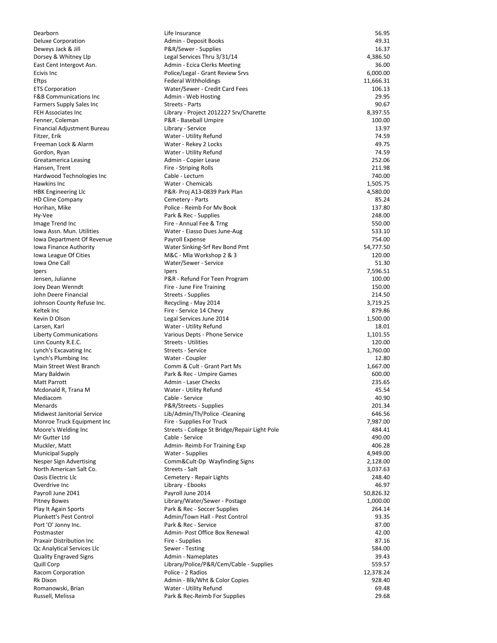| Dearborn                          | Life Insurance                                | 56.95     |
|-----------------------------------|-----------------------------------------------|-----------|
| Deluxe Corporation                | Admin - Deposit Books                         | 49.31     |
| Deweys Jack & Jill                | P&R/Sewer - Supplies                          | 16.37     |
| Dorsey & Whitney Llp              | Legal Services Thru 3/31/14                   | 4,386.50  |
| East Cent Intergovt Asn.          | Admin - Ecica Clerks Meeting                  | 36.00     |
| Ecivis Inc                        | Police/Legal - Grant Review Srvs              | 6,000.00  |
| Eftps                             | <b>Federal Withholdings</b>                   | 11,666.31 |
|                                   |                                               |           |
| <b>ETS Corporation</b>            | Water/Sewer - Credit Card Fees                | 106.13    |
| <b>F&amp;B Communications Inc</b> | Admin - Web Hosting                           | 29.95     |
| Farmers Supply Sales Inc          | Streets - Parts                               | 90.67     |
| FEH Associates Inc                | Library - Project 2012227 Srv/Charette        | 8,397.55  |
| Fenner, Coleman                   | P&R - Baseball Umpire                         | 100.00    |
| Financial Adjustment Bureau       | Library - Service                             | 13.97     |
| Fitzer, Erik                      | Water - Utility Refund                        | 74.59     |
|                                   |                                               |           |
| Freeman Lock & Alarm              | Water - Rekey 2 Locks                         | 49.75     |
| Gordon, Ryan                      | Water - Utility Refund                        | 74.59     |
| Greatamerica Leasing              | Admin - Copier Lease                          | 252.06    |
| Hansen, Trent                     | Fire - Striping Rolls                         | 211.98    |
| Hardwood Technologies Inc         | Cable - Lecturn                               | 740.00    |
| Hawkins Inc                       | Water - Chemicals                             | 1,505.75  |
| <b>HBK Engineering LIc</b>        | P&R- Proj A13-0839 Park Plan                  | 4,580.00  |
|                                   |                                               | 85.24     |
| <b>HD Cline Company</b>           | Cemetery - Parts                              |           |
| Horihan, Mike                     | Police - Reimb For My Book                    | 137.80    |
| Hy-Vee                            | Park & Rec - Supplies                         | 248.00    |
| Image Trend Inc                   | Fire - Annual Fee & Trng                      | 550.00    |
| Iowa Assn. Mun. Utilities         | Water - Eiasso Dues June-Aug                  | 533.10    |
| Iowa Department Of Revenue        | Payroll Expense                               | 754.00    |
| Iowa Finance Authority            | Water Sinking-Srf Rev Bond Pmt                | 54,777.50 |
|                                   |                                               |           |
| lowa League Of Cities             | M&C - Mla Workshop 2 & 3                      | 120.00    |
| Iowa One Call                     | Water/Sewer - Service                         | 51.30     |
| Ipers                             | Ipers                                         | 7,596.51  |
| Jensen, Julianne                  | P&R - Refund For Teen Program                 | 100.00    |
| Joey Dean Wenndt                  | Fire - June Fire Training                     | 150.00    |
| John Deere Financial              | Streets - Supplies                            | 214.50    |
| Johnson County Refuse Inc.        | Recycling - May 2014                          | 3,719.25  |
|                                   |                                               |           |
| Keltek Inc                        | Fire - Service 14 Chevy                       | 879.86    |
| Kevin D Olson                     | Legal Services June 2014                      | 1,500.00  |
| Larsen, Karl                      | Water - Utility Refund                        | 18.01     |
| Liberty Communications            | Various Depts - Phone Service                 | 1,101.55  |
| Linn County R.E.C.                | <b>Streets - Utilities</b>                    | 120.00    |
| Lynch's Excavating Inc            | Streets - Service                             | 1,760.00  |
| Lynch's Plumbing Inc              | Water - Coupler                               | 12.80     |
|                                   |                                               | 1,667.00  |
| Main Street West Branch           | Comm & Cult - Grant Part Ms                   |           |
| Mary Baldwin                      | Park & Rec - Umpire Games                     | 600.00    |
| Matt Parrott                      | Admin - Laser Checks                          | 235.65    |
| Mcdonald R, Trana M               | Water - Utility Refund                        | 45.54     |
| Mediacom                          | Cable - Service                               | 40.90     |
| Menards                           | P&R/Streets - Supplies                        | 201.34    |
| Midwest Janitorial Service        | Lib/Admin/Th/Police -Cleaning                 | 646.56    |
| Monroe Truck Equipment Inc        |                                               |           |
|                                   | Fire - Supplies For Truck                     | 7,987.00  |
| Moore's Welding Inc               | Streets - College St Bridge/Repair Light Pole | 484.41    |
| Mr Gutter Ltd                     | Cable - Service                               | 490.00    |
| Muckler, Matt                     | Admin-Reimb For Training Exp                  | 406.28    |
| <b>Municipal Supply</b>           | Water - Supplies                              | 4,949.00  |
| Nesper Sign Advertising           | Comm&Cult-Dp Wayfinding Signs                 | 2,128.00  |
| North American Salt Co.           | Streets - Salt                                | 3,037.63  |
| Oasis Electric Llc                |                                               | 248.40    |
|                                   | Cemetery - Repair Lights                      |           |
| Overdrive Inc                     | Library - Ebooks                              | 46.97     |
| Payroll June 2041                 | Payroll June 2014                             | 50,826.32 |
| <b>Pitney Bowes</b>               | Library/Water/Sewer - Postage                 | 1,000.00  |
| Play It Again Sports              | Park & Rec - Soccer Supplies                  | 264.14    |
| Plunkett's Pest Control           | Admin/Town Hall - Pest Control                | 93.35     |
| Port 'O' Jonny Inc.               | Park & Rec - Service                          | 87.00     |
| Postmaster                        | Admin- Post Office Box Renewal                | 42.00     |
|                                   |                                               |           |
| Praxair Distribution Inc          | Fire - Supplies                               | 87.16     |
| Qc Analytical Services Llc        | Sewer - Testing                               | 584.00    |
| <b>Quality Engraved Signs</b>     | Admin - Nameplates                            | 39.43     |
| Quill Corp                        | Library/Police/P&R/Cem/Cable - Supplies       | 559.57    |
| Racom Corporation                 | Police - 2 Radios                             | 12,378.24 |
| Rk Dixon                          | Admin - Blk/Wht & Color Copies                | 928.40    |
|                                   |                                               | 69.48     |
| Romanowski, Brian                 | Water - Utility Refund                        |           |
| Russell, Melissa                  | Park & Rec-Reimb For Supplies                 | 29.68     |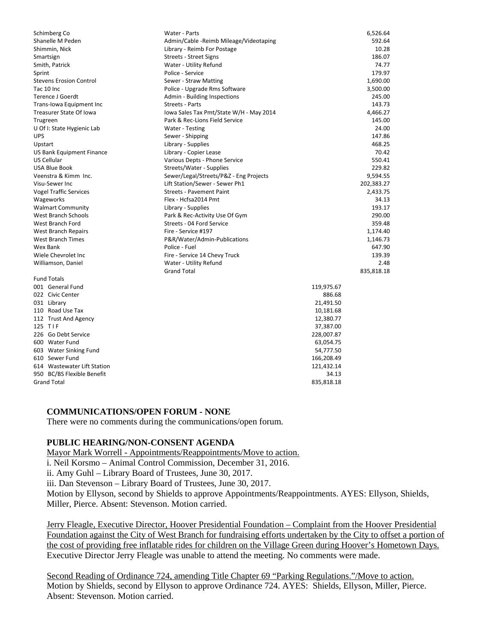| Schimberg Co                   | Water - Parts                           | 6,526.64   |
|--------------------------------|-----------------------------------------|------------|
| Shanelle M Peden               | Admin/Cable - Reimb Mileage/Videotaping | 592.64     |
| Shimmin, Nick                  | Library - Reimb For Postage             | 10.28      |
| Smartsign                      | <b>Streets - Street Signs</b>           | 186.07     |
| Smith, Patrick                 | Water - Utility Refund                  | 74.77      |
| Sprint                         | Police - Service                        | 179.97     |
| <b>Stevens Erosion Control</b> | Sewer - Straw Matting                   | 1,690.00   |
| Tac 10 Inc                     | Police - Upgrade Rms Software           | 3,500.00   |
| <b>Terence J Goerdt</b>        | Admin - Building Inspections            | 245.00     |
| Trans-lowa Equipment Inc       | <b>Streets - Parts</b>                  | 143.73     |
| Treasurer State Of Iowa        | Iowa Sales Tax Pmt/State W/H - May 2014 | 4,466.27   |
| Trugreen                       | Park & Rec-Lions Field Service          | 145.00     |
| U Of I: State Hygienic Lab     | Water - Testing                         | 24.00      |
| <b>UPS</b>                     | Sewer - Shipping                        | 147.86     |
| Upstart                        | Library - Supplies                      | 468.25     |
| US Bank Equipment Finance      | Library - Copier Lease                  | 70.42      |
| US Cellular                    | Various Depts - Phone Service           | 550.41     |
| <b>USA Blue Book</b>           | Streets/Water - Supplies                | 229.82     |
| Veenstra & Kimm Inc.           | Sewer/Legal/Streets/P&Z - Eng Projects  | 9,594.55   |
| Visu-Sewer Inc                 | Lift Station/Sewer - Sewer Ph1          | 202,383.27 |
| <b>Vogel Traffic Services</b>  | <b>Streets - Pavement Paint</b>         | 2,433.75   |
| Wageworks                      | Flex - Hcfsa2014 Pmt                    | 34.13      |
| <b>Walmart Community</b>       | Library - Supplies                      | 193.17     |
| <b>West Branch Schools</b>     | Park & Rec-Activity Use Of Gym          | 290.00     |
| West Branch Ford               | Streets - 04 Ford Service               | 359.48     |
| <b>West Branch Repairs</b>     | Fire - Service #197                     | 1,174.40   |
| <b>West Branch Times</b>       | P&R/Water/Admin-Publications            | 1,146.73   |
| Wex Bank                       | Police - Fuel                           | 647.90     |
| Wiele Chevrolet Inc            | Fire - Service 14 Chevy Truck           | 139.39     |
| Williamson, Daniel             | Water - Utility Refund                  | 2.48       |
|                                | <b>Grand Total</b>                      | 835,818.18 |
| <b>Fund Totals</b>             |                                         |            |
| 001 General Fund               |                                         | 119,975.67 |
| 022 Civic Center               |                                         | 886.68     |
| 031 Library                    |                                         | 21,491.50  |
| 110 Road Use Tax               |                                         | 10,181.68  |
| 112 Trust And Agency           |                                         | 12,380.77  |
| 125 TIF                        |                                         | 37,387.00  |
| 226 Go Debt Service            |                                         | 228,007.87 |
| 600 Water Fund                 |                                         | 63,054.75  |
| 603 Water Sinking Fund         |                                         | 54,777.50  |
| 610 Sewer Fund                 |                                         | 166,208.49 |
| 614 Wastewater Lift Station    |                                         | 121,432.14 |
| 950 BC/BS Flexible Benefit     |                                         | 34.13      |
| <b>Grand Total</b>             |                                         | 835,818.18 |
|                                |                                         |            |

#### **COMMUNICATIONS/OPEN FORUM - NONE**

There were no comments during the communications/open forum.

## **PUBLIC HEARING/NON-CONSENT AGENDA**

Mayor Mark Worrell - Appointments/Reappointments/Move to action. i. Neil Korsmo – Animal Control Commission, December 31, 2016. ii. Amy Guhl – Library Board of Trustees, June 30, 2017. iii. Dan Stevenson – Library Board of Trustees, June 30, 2017. Motion by Ellyson, second by Shields to approve Appointments/Reappointments. AYES: Ellyson, Shields, Miller, Pierce. Absent: Stevenson. Motion carried.

Jerry Fleagle, Executive Director, Hoover Presidential Foundation – Complaint from the Hoover Presidential Foundation against the City of West Branch for fundraising efforts undertaken by the City to offset a portion of the cost of providing free inflatable rides for children on the Village Green during Hoover's Hometown Days. Executive Director Jerry Fleagle was unable to attend the meeting. No comments were made.

Second Reading of Ordinance 724, amending Title Chapter 69 "Parking Regulations."/Move to action. Motion by Shields, second by Ellyson to approve Ordinance 724. AYES: Shields, Ellyson, Miller, Pierce. Absent: Stevenson. Motion carried.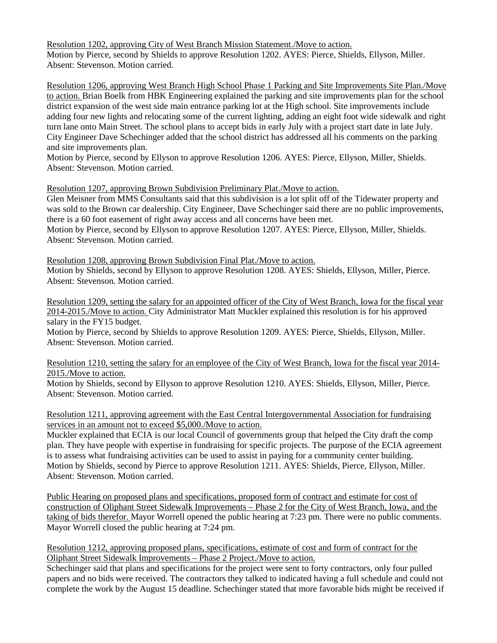Resolution 1202, approving City of West Branch Mission Statement./Move to action. Motion by Pierce, second by Shields to approve Resolution 1202. AYES: Pierce, Shields, Ellyson, Miller. Absent: Stevenson. Motion carried.

Resolution 1206, approving West Branch High School Phase 1 Parking and Site Improvements Site Plan./Move to action. Brian Boelk from HBK Engineering explained the parking and site improvements plan for the school district expansion of the west side main entrance parking lot at the High school. Site improvements include adding four new lights and relocating some of the current lighting, adding an eight foot wide sidewalk and right turn lane onto Main Street. The school plans to accept bids in early July with a project start date in late July. City Engineer Dave Schechinger added that the school district has addressed all his comments on the parking and site improvements plan.

Motion by Pierce, second by Ellyson to approve Resolution 1206. AYES: Pierce, Ellyson, Miller, Shields. Absent: Stevenson. Motion carried.

# Resolution 1207, approving Brown Subdivision Preliminary Plat./Move to action.

Glen Meisner from MMS Consultants said that this subdivision is a lot split off of the Tidewater property and was sold to the Brown car dealership. City Engineer, Dave Schechinger said there are no public improvements, there is a 60 foot easement of right away access and all concerns have been met.

Motion by Pierce, second by Ellyson to approve Resolution 1207. AYES: Pierce, Ellyson, Miller, Shields. Absent: Stevenson. Motion carried.

Resolution 1208, approving Brown Subdivision Final Plat./Move to action. Motion by Shields, second by Ellyson to approve Resolution 1208. AYES: Shields, Ellyson, Miller, Pierce. Absent: Stevenson. Motion carried.

Resolution 1209, setting the salary for an appointed officer of the City of West Branch, Iowa for the fiscal year 2014-2015./Move to action. City Administrator Matt Muckler explained this resolution is for his approved salary in the FY15 budget.

Motion by Pierce, second by Shields to approve Resolution 1209. AYES: Pierce, Shields, Ellyson, Miller. Absent: Stevenson. Motion carried.

## Resolution 1210, setting the salary for an employee of the City of West Branch, Iowa for the fiscal year 2014- 2015./Move to action.

Motion by Shields, second by Ellyson to approve Resolution 1210. AYES: Shields, Ellyson, Miller, Pierce. Absent: Stevenson. Motion carried.

Resolution 1211, approving agreement with the East Central Intergovernmental Association for fundraising services in an amount not to exceed \$5,000./Move to action.

Muckler explained that ECIA is our local Council of governments group that helped the City draft the comp plan. They have people with expertise in fundraising for specific projects. The purpose of the ECIA agreement is to assess what fundraising activities can be used to assist in paying for a community center building. Motion by Shields, second by Pierce to approve Resolution 1211. AYES: Shields, Pierce, Ellyson, Miller. Absent: Stevenson. Motion carried.

Public Hearing on proposed plans and specifications, proposed form of contract and estimate for cost of construction of Oliphant Street Sidewalk Improvements – Phase 2 for the City of West Branch, Iowa, and the taking of bids therefor. Mayor Worrell opened the public hearing at 7:23 pm. There were no public comments. Mayor Worrell closed the public hearing at 7:24 pm.

Resolution 1212, approving proposed plans, specifications, estimate of cost and form of contract for the Oliphant Street Sidewalk Improvements – Phase 2 Project./Move to action.

Schechinger said that plans and specifications for the project were sent to forty contractors, only four pulled papers and no bids were received. The contractors they talked to indicated having a full schedule and could not complete the work by the August 15 deadline. Schechinger stated that more favorable bids might be received if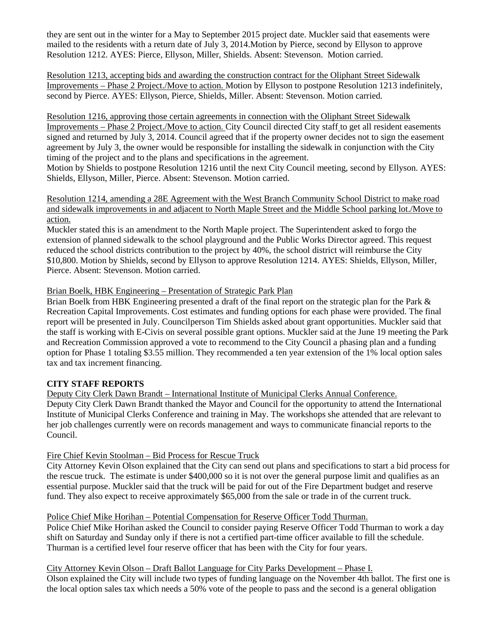they are sent out in the winter for a May to September 2015 project date. Muckler said that easements were mailed to the residents with a return date of July 3, 2014.Motion by Pierce, second by Ellyson to approve Resolution 1212. AYES: Pierce, Ellyson, Miller, Shields. Absent: Stevenson. Motion carried.

Resolution 1213, accepting bids and awarding the construction contract for the Oliphant Street Sidewalk Improvements – Phase 2 Project./Move to action. Motion by Ellyson to postpone Resolution 1213 indefinitely, second by Pierce. AYES: Ellyson, Pierce, Shields, Miller. Absent: Stevenson. Motion carried.

Resolution 1216, approving those certain agreements in connection with the Oliphant Street Sidewalk Improvements – Phase 2 Project./Move to action. City Council directed City staff to get all resident easements signed and returned by July 3, 2014. Council agreed that if the property owner decides not to sign the easement agreement by July 3, the owner would be responsible for installing the sidewalk in conjunction with the City timing of the project and to the plans and specifications in the agreement.

Motion by Shields to postpone Resolution 1216 until the next City Council meeting, second by Ellyson. AYES: Shields, Ellyson, Miller, Pierce. Absent: Stevenson. Motion carried.

Resolution 1214, amending a 28E Agreement with the West Branch Community School District to make road and sidewalk improvements in and adjacent to North Maple Street and the Middle School parking lot./Move to action.

Muckler stated this is an amendment to the North Maple project. The Superintendent asked to forgo the extension of planned sidewalk to the school playground and the Public Works Director agreed. This request reduced the school districts contribution to the project by 40%, the school district will reimburse the City \$10,800. Motion by Shields, second by Ellyson to approve Resolution 1214. AYES: Shields, Ellyson, Miller, Pierce. Absent: Stevenson. Motion carried.

### Brian Boelk, HBK Engineering – Presentation of Strategic Park Plan

Brian Boelk from HBK Engineering presented a draft of the final report on the strategic plan for the Park & Recreation Capital Improvements. Cost estimates and funding options for each phase were provided. The final report will be presented in July. Councilperson Tim Shields asked about grant opportunities. Muckler said that the staff is working with E-Civis on several possible grant options. Muckler said at the June 19 meeting the Park and Recreation Commission approved a vote to recommend to the City Council a phasing plan and a funding option for Phase 1 totaling \$3.55 million. They recommended a ten year extension of the 1% local option sales tax and tax increment financing.

# **CITY STAFF REPORTS**

Deputy City Clerk Dawn Brandt – International Institute of Municipal Clerks Annual Conference. Deputy City Clerk Dawn Brandt thanked the Mayor and Council for the opportunity to attend the International Institute of Municipal Clerks Conference and training in May. The workshops she attended that are relevant to her job challenges currently were on records management and ways to communicate financial reports to the Council.

### Fire Chief Kevin Stoolman – Bid Process for Rescue Truck

City Attorney Kevin Olson explained that the City can send out plans and specifications to start a bid process for the rescue truck. The estimate is under \$400,000 so it is not over the general purpose limit and qualifies as an essential purpose. Muckler said that the truck will be paid for out of the Fire Department budget and reserve fund. They also expect to receive approximately \$65,000 from the sale or trade in of the current truck.

### Police Chief Mike Horihan – Potential Compensation for Reserve Officer Todd Thurman.

Police Chief Mike Horihan asked the Council to consider paying Reserve Officer Todd Thurman to work a day shift on Saturday and Sunday only if there is not a certified part-time officer available to fill the schedule. Thurman is a certified level four reserve officer that has been with the City for four years.

City Attorney Kevin Olson – Draft Ballot Language for City Parks Development – Phase I.

Olson explained the City will include two types of funding language on the November 4th ballot. The first one is the local option sales tax which needs a 50% vote of the people to pass and the second is a general obligation